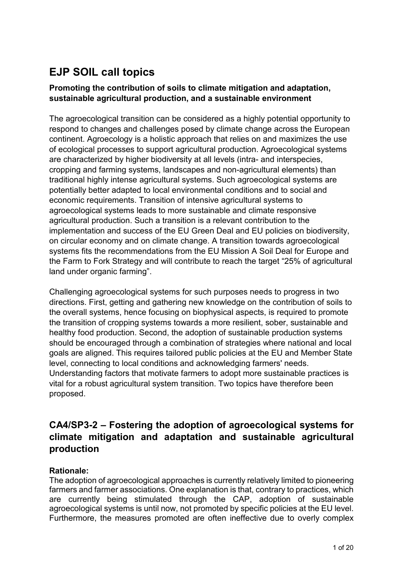# **EJP SOIL call topics**

## **Promoting the contribution of soils to climate mitigation and adaptation, sustainable agricultural production, and a sustainable environment**

The agroecological transition can be considered as a highly potential opportunity to respond to changes and challenges posed by climate change across the European continent. Agroecology is a holistic approach that relies on and maximizes the use of ecological processes to support agricultural production. Agroecological systems are characterized by higher biodiversity at all levels (intra- and interspecies, cropping and farming systems, landscapes and non-agricultural elements) than traditional highly intense agricultural systems. Such agroecological systems are potentially better adapted to local environmental conditions and to social and economic requirements. Transition of intensive agricultural systems to agroecological systems leads to more sustainable and climate responsive agricultural production. Such a transition is a relevant contribution to the implementation and success of the EU Green Deal and EU policies on biodiversity, on circular economy and on climate change. A transition towards agroecological systems fits the recommendations from the EU Mission A Soil Deal for Europe and the Farm to Fork Strategy and will contribute to reach the target "25% of agricultural land under organic farming".

Challenging agroecological systems for such purposes needs to progress in two directions. First, getting and gathering new knowledge on the contribution of soils to the overall systems, hence focusing on biophysical aspects, is required to promote the transition of cropping systems towards a more resilient, sober, sustainable and healthy food production. Second, the adoption of sustainable production systems should be encouraged through a combination of strategies where national and local goals are aligned. This requires tailored public policies at the EU and Member State level, connecting to local conditions and acknowledging farmers' needs. Understanding factors that motivate farmers to adopt more sustainable practices is vital for a robust agricultural system transition. Two topics have therefore been proposed.

# **CA4/SP3-2 – Fostering the adoption of agroecological systems for climate mitigation and adaptation and sustainable agricultural production**

## **Rationale:**

The adoption of agroecological approaches is currently relatively limited to pioneering farmers and farmer associations. One explanation is that, contrary to practices, which are currently being stimulated through the CAP, adoption of sustainable agroecological systems is until now, not promoted by specific policies at the EU level. Furthermore, the measures promoted are often ineffective due to overly complex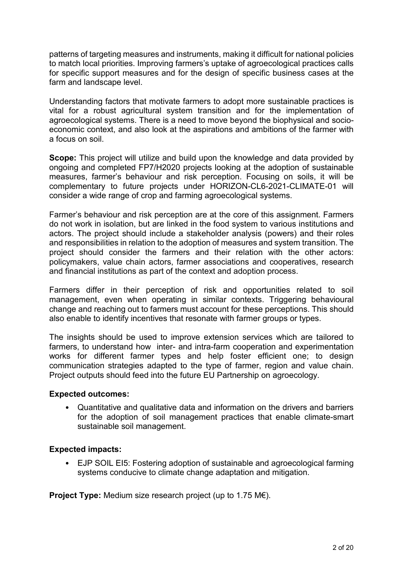patterns of targeting measures and instruments, making it difficult for national policies to match local priorities. Improving farmers's uptake of agroecological practices calls for specific support measures and for the design of specific business cases at the farm and landscape level.

Understanding factors that motivate farmers to adopt more sustainable practices is vital for a robust agricultural system transition and for the implementation of agroecological systems. There is a need to move beyond the biophysical and socioeconomic context, and also look at the aspirations and ambitions of the farmer with a focus on soil.

**Scope:** This project will utilize and build upon the knowledge and data provided by ongoing and completed FP7/H2020 projects looking at the adoption of sustainable measures, farmer's behaviour and risk perception. Focusing on soils, it will be complementary to future projects under HORIZON-CL6-2021-CLIMATE-01 will consider a wide range of crop and farming agroecological systems.

Farmer's behaviour and risk perception are at the core of this assignment. Farmers do not work in isolation, but are linked in the food system to various institutions and actors. The project should include a stakeholder analysis (powers) and their roles and responsibilities in relation to the adoption of measures and system transition. The project should consider the farmers and their relation with the other actors: policymakers, value chain actors, farmer associations and cooperatives, research and financial institutions as part of the context and adoption process.

Farmers differ in their perception of risk and opportunities related to soil management, even when operating in similar contexts. Triggering behavioural change and reaching out to farmers must account for these perceptions. This should also enable to identify incentives that resonate with farmer groups or types.

The insights should be used to improve extension services which are tailored to farmers, to understand how inter- and intra-farm cooperation and experimentation works for different farmer types and help foster efficient one; to design communication strategies adapted to the type of farmer, region and value chain. Project outputs should feed into the future EU Partnership on agroecology.

#### **Expected outcomes:**

• Quantitative and qualitative data and information on the drivers and barriers for the adoption of soil management practices that enable climate-smart sustainable soil management.

#### **Expected impacts:**

• EJP SOIL EI5: Fostering adoption of sustainable and agroecological farming systems conducive to climate change adaptation and mitigation.

**Project Type:** Medium size research project (up to 1.75 M€).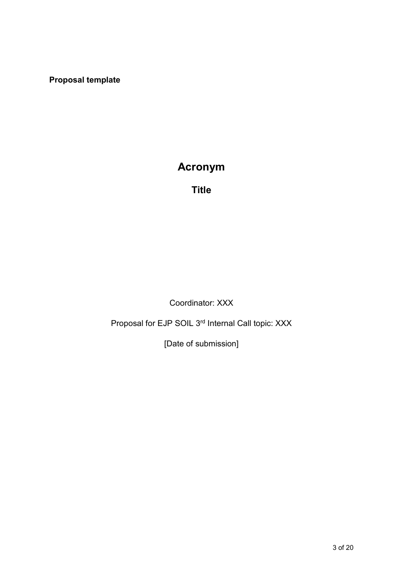**Proposal template**

# **Acronym**

**Title**

Coordinator: XXX

Proposal for EJP SOIL 3<sup>rd</sup> Internal Call topic: XXX

[Date of submission]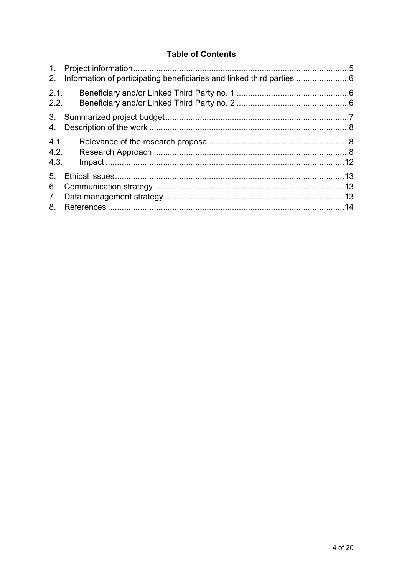## **Table of Contents**

| 2.                               |  |
|----------------------------------|--|
| 2.1.<br>2.2.                     |  |
| 4.                               |  |
| 4.1.<br>4.2.<br>4.3.             |  |
| 5 <sub>1</sub><br>6.<br>7.<br>8. |  |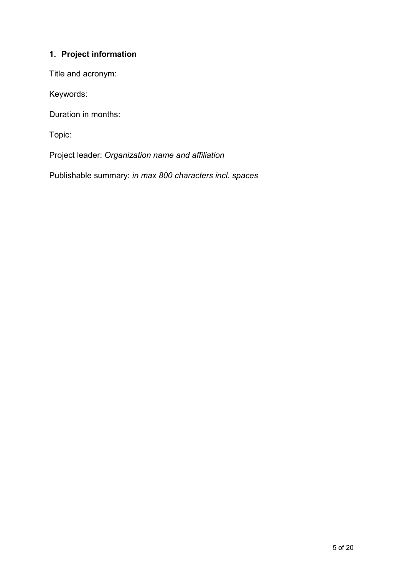# <span id="page-4-0"></span>**1. Project information**

Title and acronym:

Keywords:

Duration in months:

Topic:

Project leader: *Organization name and affiliation*

Publishable summary: *in max 800 characters incl. spaces*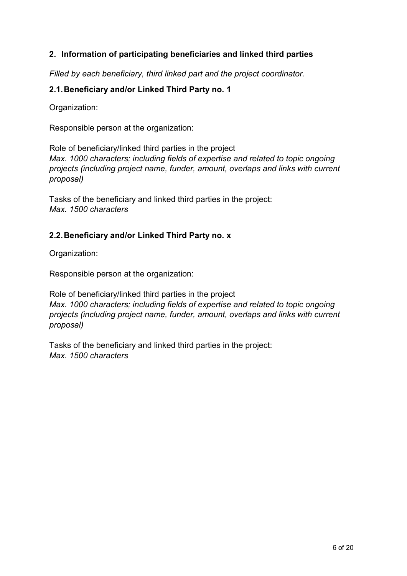## <span id="page-5-0"></span>**2. Information of participating beneficiaries and linked third parties**

*Filled by each beneficiary, third linked part and the project coordinator.*

## <span id="page-5-1"></span>**2.1.Beneficiary and/or Linked Third Party no. 1**

Organization:

Responsible person at the organization:

Role of beneficiary/linked third parties in the project *Max. 1000 characters; including fields of expertise and related to topic ongoing projects (including project name, funder, amount, overlaps and links with current proposal)*

Tasks of the beneficiary and linked third parties in the project: *Max. 1500 characters*

## <span id="page-5-2"></span>**2.2.Beneficiary and/or Linked Third Party no. x**

Organization:

Responsible person at the organization:

Role of beneficiary/linked third parties in the project *Max. 1000 characters; including fields of expertise and related to topic ongoing projects (including project name, funder, amount, overlaps and links with current proposal)*

Tasks of the beneficiary and linked third parties in the project: *Max. 1500 characters*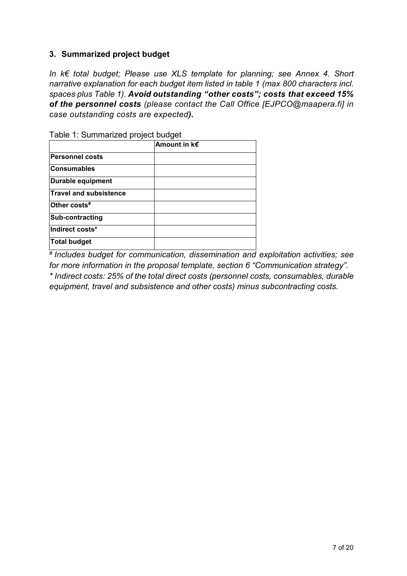## <span id="page-6-0"></span>**3. Summarized project budget**

*In k€ total budget; Please use XLS template for planning; see Annex 4. Short narrative explanation for each budget item listed in table 1 (max 800 characters incl. spaces plus Table 1). Avoid outstanding "other costs"; costs that exceed 15% of the personnel costs (please contact the Call Office [EJPCO@maapera.fi] in case outstanding costs are expected).* 

| rabic 1. Odiffifiarized project budget |                   |
|----------------------------------------|-------------------|
|                                        | Amount in $k \in$ |
| <b>Personnel costs</b>                 |                   |
| <b>Consumables</b>                     |                   |
| Durable equipment                      |                   |
| <b>Travel and subsistence</b>          |                   |
| Other costs#                           |                   |
| Sub-contracting                        |                   |
| Indirect costs*                        |                   |
| Total budget                           |                   |

Table 1: Summarized project budget

*# Includes budget for communication, dissemination and exploitation activities; see for more information in the proposal template, section 6 "Communication strategy". \* Indirect costs: 25% of the total direct costs (personnel costs, consumables, durable equipment, travel and subsistence and other costs) minus subcontracting costs.*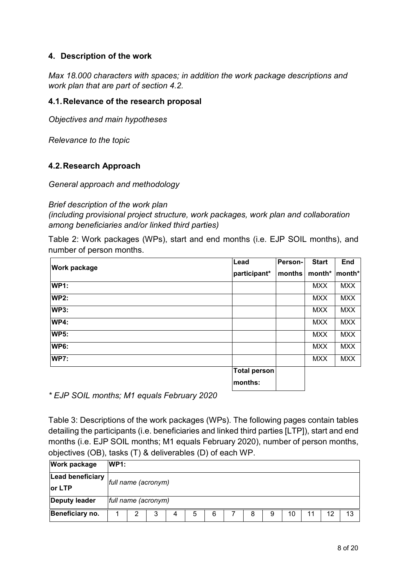## <span id="page-7-0"></span>**4. Description of the work**

*Max 18.000 characters with spaces; in addition the work package descriptions and work plan that are part of section 4.2.*

## <span id="page-7-1"></span>**4.1.Relevance of the research proposal**

*Objectives and main hypotheses*

*Relevance to the topic*

#### <span id="page-7-2"></span>**4.2.Research Approach**

*General approach and methodology*

#### *Brief description of the work plan*

*(including provisional project structure, work packages, work plan and collaboration among beneficiaries and/or linked third parties)*

Table 2: Work packages (WPs), start and end months (i.e. EJP SOIL months), and number of person months.

|                     | Lead                | Person- | <b>Start</b> | <b>End</b> |
|---------------------|---------------------|---------|--------------|------------|
| <b>Work package</b> | participant*        | months  | month*       | month*     |
| <b>WP1:</b>         |                     |         | <b>MXX</b>   | <b>MXX</b> |
| <b>WP2:</b>         |                     |         | <b>MXX</b>   | <b>MXX</b> |
| <b>WP3:</b>         |                     |         | <b>MXX</b>   | <b>MXX</b> |
| <b>WP4:</b>         |                     |         | <b>MXX</b>   | <b>MXX</b> |
| <b>WP5:</b>         |                     |         | <b>MXX</b>   | <b>MXX</b> |
| <b>WP6:</b>         |                     |         | <b>MXX</b>   | <b>MXX</b> |
| <b>WP7:</b>         |                     |         | <b>MXX</b>   | <b>MXX</b> |
|                     | <b>Total person</b> |         |              |            |
|                     | months:             |         |              |            |

*\* EJP SOIL months; M1 equals February 2020*

Table 3: Descriptions of the work packages (WPs). The following pages contain tables detailing the participants (i.e. beneficiaries and linked third parties [LTP]), start and end months (i.e. EJP SOIL months; M1 equals February 2020), number of person months, objectives (OB), tasks (T) & deliverables (D) of each WP.

| <b>Work package</b>  | <b>WP1:</b> |                     |   |   |   |   |  |   |   |    |  |    |    |
|----------------------|-------------|---------------------|---|---|---|---|--|---|---|----|--|----|----|
| Lead beneficiary     |             | full name (acronym) |   |   |   |   |  |   |   |    |  |    |    |
| lor LTP              |             |                     |   |   |   |   |  |   |   |    |  |    |    |
| <b>Deputy leader</b> |             | full name (acronym) |   |   |   |   |  |   |   |    |  |    |    |
| Beneficiary no.      |             | ົ                   | 3 | 4 | 5 | 6 |  | 8 | 9 | 10 |  | 12 | 13 |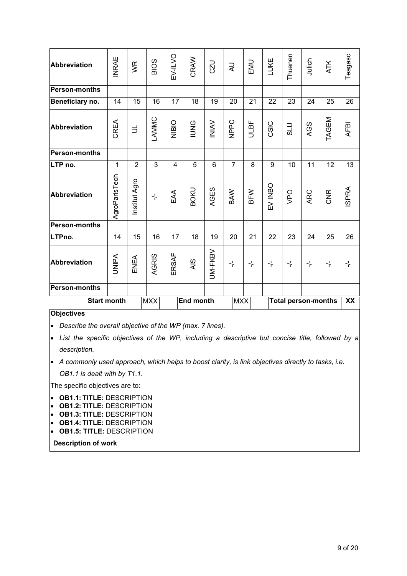| Abbreviation         | <b>INRAE</b>       | WR             | <b>BIOS</b>          | EV-ILVO | CRAW             | CZU            | R                  | EMU                  | LUKE                 | Thuenen          | Julich                     | <b>ATK</b>           | Teagasc      |
|----------------------|--------------------|----------------|----------------------|---------|------------------|----------------|--------------------|----------------------|----------------------|------------------|----------------------------|----------------------|--------------|
| <b>Person-months</b> |                    |                |                      |         |                  |                |                    |                      |                      |                  |                            |                      |              |
| Beneficiary no.      | 14                 | 15             | 16                   | 17      | 18               | 19             | 20                 | 21                   | 22                   | 23               | 24                         | 25                   | 26           |
| <b>Abbreviation</b>  | CREA               | $\exists$      | LAMMC                | NIBIO   | <b>PNNI</b>      | <b>NINI</b>    | NPPC               | <b>ULBF</b>          | CSIC                 | <b>DTS</b>       | AGS                        | TAGEM                | <b>AFBI</b>  |
| <b>Person-months</b> |                    |                |                      |         |                  |                |                    |                      |                      |                  |                            |                      |              |
| LTP no.              | $\mathbf{1}$       | $\overline{2}$ | 3                    | 4       | 5                | $6\phantom{1}$ | $\overline{7}$     | 8                    | 9                    | 10               | 11                         | 12                   | 13           |
| <b>Abbreviation</b>  | AgroParisTech      | Institut Agro  | $\frac{1}{\sqrt{2}}$ | EAA     | <b>BOKU</b>      | AGES           | BAW                | BFW                  | EV INBO              | <b>OdA</b>       | ARC                        | <b>CNR</b>           | <b>ISPRA</b> |
| <b>Person-months</b> |                    |                |                      |         |                  |                |                    |                      |                      |                  |                            |                      |              |
| LTPno.               | 14                 | 15             | 16                   | 17      | 18               | 19             | 20                 | 21                   | 22                   | 23               | 24                         | 25                   | 26           |
| <b>Abbreviation</b>  | <b>UNIPA</b>       | ENEA           | AGRIS                | ERSAF   | AIS              | UM-FKBV        | $\frac{1}{\Gamma}$ | $\frac{1}{\epsilon}$ | $\frac{1}{\sqrt{2}}$ | $\frac{1}{\tau}$ | $\frac{1}{\epsilon}$       | $\frac{1}{\epsilon}$ | $\div$       |
| <b>Person-months</b> |                    |                |                      |         |                  |                |                    |                      |                      |                  |                            |                      |              |
|                      | <b>Start month</b> |                | <b>MXX</b>           |         | <b>End month</b> |                | <b>MXX</b>         |                      |                      |                  | <b>Total person-months</b> |                      | XX           |

#### **Objectives**

• *Describe the overall objective of the WP (max. 7 lines).*

• *List the specific objectives of the WP, including a descriptive but concise title, followed by a description.*

• *A commonly used approach, which helps to boost clarity, is link objectives directly to tasks, i.e. OB1.1 is dealt with by T1.1.*

The specific objectives are to:

- **OB1.1: TITLE:** DESCRIPTION
- **OB1.2: TITLE:** DESCRIPTION
- **OB1.3: TITLE:** DESCRIPTION
- **OB1.4: TITLE:** DESCRIPTION
- **OB1.5: TITLE:** DESCRIPTION

**Description of work**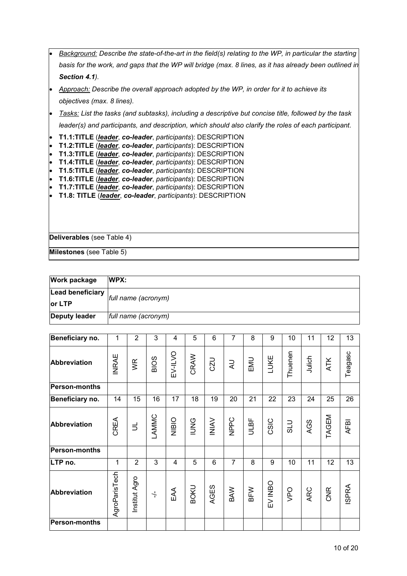|                        | Background: Describe the state-of-the-art in the field(s) relating to the WP, in particular the starting               |
|------------------------|------------------------------------------------------------------------------------------------------------------------|
|                        | basis for the work, and gaps that the WP will bridge (max. 8 lines, as it has already been outlined in                 |
|                        | Section 4.1).                                                                                                          |
|                        | Approach: Describe the overall approach adopted by the WP, in order for it to achieve its                              |
|                        | objectives (max. 8 lines).                                                                                             |
|                        | Tasks: List the tasks (and subtasks), including a descriptive but concise title, followed by the task                  |
|                        | leader(s) and participants, and description, which should also clarify the roles of each participant.                  |
|                        | T1.1:TITLE (leader, co-leader, participants): DESCRIPTION                                                              |
| $\bullet$<br>$\bullet$ | T1.2:TITLE (leader, co-leader, participants): DESCRIPTION<br>T1.3:TITLE (leader, co-leader, participants): DESCRIPTION |
| $\bullet$              | T1.4:TITLE (leader, co-leader, participants): DESCRIPTION                                                              |
| $\bullet$              | T1.5:TITLE (leader, co-leader, participants): DESCRIPTION                                                              |
| $\bullet$              | T1.6:TITLE (leader, co-leader, participants): DESCRIPTION                                                              |
| $\bullet$              | T1.7:TITLE (leader, co-leader, participants): DESCRIPTION                                                              |
|                        | T1.8: TITLE (leader, co-leader, participants): DESCRIPTION                                                             |
|                        |                                                                                                                        |
|                        |                                                                                                                        |
|                        | Deliverables (see Table 4)                                                                                             |
|                        |                                                                                                                        |
|                        | Milestones (see Table 5)                                                                                               |

| <b>Work package</b>  | WPX:                |  |  |  |  |  |
|----------------------|---------------------|--|--|--|--|--|
| Lead beneficiary     | full name (acronym) |  |  |  |  |  |
| or LTP               |                     |  |  |  |  |  |
| <b>Deputy leader</b> | full name (acronym) |  |  |  |  |  |

| Beneficiary no.      | 1             | $\overline{2}$ | 3                    | 4            | 5           | 6              | $\overline{7}$ | 8    | 9       | 10      | 11     | 12         | 13           |
|----------------------|---------------|----------------|----------------------|--------------|-------------|----------------|----------------|------|---------|---------|--------|------------|--------------|
| Abbreviation         | <b>INRAE</b>  | $\mathbb{R}$   | BIOS                 | EV-ILVO      | CRAW        | <b>CZU</b>     | $\gtrsim$      | EMU  | LUKE    | Thuenen | Julich | <b>ATK</b> | Teagasc      |
| <b>Person-months</b> |               |                |                      |              |             |                |                |      |         |         |        |            |              |
| Beneficiary no.      | 14            | 15             | 16                   | 17           | 18          | 19             | 20             | 21   | 22      | 23      | 24     | 25         | 26           |
| <b>Abbreviation</b>  | CREA          | $\equiv$       | LAMMC                | <b>NIBIO</b> | <b>IUNG</b> | INIAV          | NPPC           | ULBF | CSIC    | OTS     | AGS    | TAGEM      | AFBI         |
| Person-months        |               |                |                      |              |             |                |                |      |         |         |        |            |              |
| LTP no.              | 1             | $\overline{2}$ | 3                    | 4            | 5           | $6\phantom{1}$ | $\overline{7}$ | 8    | 9       | 10      | 11     | 12         | 13           |
| <b>Abbreviation</b>  | AgroParisTech | Institut Agro  | $\frac{1}{\sqrt{2}}$ | EAA          | <b>BOKU</b> | AGES           | BAW            | BFW  | EV INBO | VPO     | ARC    | CNR        | <b>ISPRA</b> |
| <b>Person-months</b> |               |                |                      |              |             |                |                |      |         |         |        |            |              |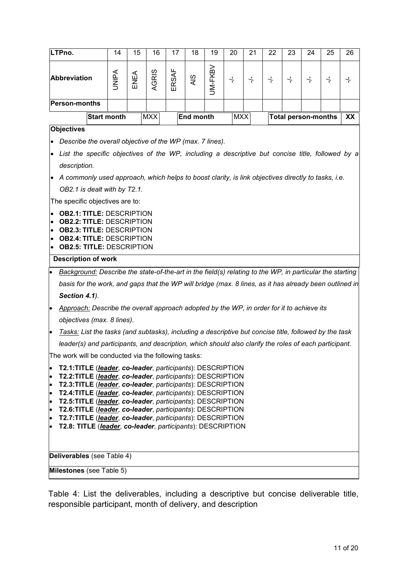|                        | LTPno.                                                                                                                                 |                    | 14           | 15   | 16         | 17    | 18               | 19             | 20            | 21                 | 22               | 23                 | 24                         | 25                   | 26               |
|------------------------|----------------------------------------------------------------------------------------------------------------------------------------|--------------------|--------------|------|------------|-------|------------------|----------------|---------------|--------------------|------------------|--------------------|----------------------------|----------------------|------------------|
|                        | <b>Abbreviation</b>                                                                                                                    |                    | <b>UNIPA</b> | ENEA | AGRIS      | ERSAF | AIS              | <b>UM-FKBV</b> | $\frac{1}{1}$ | $\frac{1}{\Gamma}$ | $\frac{1}{\tau}$ | $\frac{1}{\Gamma}$ | $\frac{1}{\tau}$           | $\frac{1}{\sqrt{2}}$ | $\frac{1}{\tau}$ |
|                        | <b>Person-months</b>                                                                                                                   |                    |              |      |            |       |                  |                |               |                    |                  |                    |                            |                      |                  |
|                        |                                                                                                                                        | <b>Start month</b> |              |      | <b>MXX</b> |       | <b>End month</b> |                | <b>MXX</b>    |                    |                  |                    | <b>Total person-months</b> |                      | XX               |
|                        | <b>Objectives</b>                                                                                                                      |                    |              |      |            |       |                  |                |               |                    |                  |                    |                            |                      |                  |
|                        | Describe the overall objective of the WP (max. 7 lines).                                                                               |                    |              |      |            |       |                  |                |               |                    |                  |                    |                            |                      |                  |
| $\bullet$              | List the specific objectives of the WP, including a descriptive but concise title, followed by a                                       |                    |              |      |            |       |                  |                |               |                    |                  |                    |                            |                      |                  |
|                        | description.                                                                                                                           |                    |              |      |            |       |                  |                |               |                    |                  |                    |                            |                      |                  |
|                        |                                                                                                                                        |                    |              |      |            |       |                  |                |               |                    |                  |                    |                            |                      |                  |
|                        | A commonly used approach, which helps to boost clarity, is link objectives directly to tasks, i.e.<br>OB2.1 is dealt with by T2.1.     |                    |              |      |            |       |                  |                |               |                    |                  |                    |                            |                      |                  |
|                        | The specific objectives are to:                                                                                                        |                    |              |      |            |       |                  |                |               |                    |                  |                    |                            |                      |                  |
| $\bullet$<br>$\bullet$ | <b>OB2.1: TITLE: DESCRIPTION</b><br><b>OB2.2: TITLE: DESCRIPTION</b>                                                                   |                    |              |      |            |       |                  |                |               |                    |                  |                    |                            |                      |                  |
| $\bullet$              | <b>OB2.3: TITLE: DESCRIPTION</b>                                                                                                       |                    |              |      |            |       |                  |                |               |                    |                  |                    |                            |                      |                  |
| $\bullet$              | <b>OB2.4: TITLE: DESCRIPTION</b>                                                                                                       |                    |              |      |            |       |                  |                |               |                    |                  |                    |                            |                      |                  |
|                        | <b>OB2.5: TITLE: DESCRIPTION</b><br>$\bullet$                                                                                          |                    |              |      |            |       |                  |                |               |                    |                  |                    |                            |                      |                  |
| $\bullet$              | <b>Description of work</b><br>Background: Describe the state-of-the-art in the field(s) relating to the WP, in particular the starting |                    |              |      |            |       |                  |                |               |                    |                  |                    |                            |                      |                  |
|                        | basis for the work, and gaps that the WP will bridge (max. 8 lines, as it has already been outlined in                                 |                    |              |      |            |       |                  |                |               |                    |                  |                    |                            |                      |                  |
|                        | Section 4.1).                                                                                                                          |                    |              |      |            |       |                  |                |               |                    |                  |                    |                            |                      |                  |
| $\bullet$              | Approach: Describe the overall approach adopted by the WP, in order for it to achieve its                                              |                    |              |      |            |       |                  |                |               |                    |                  |                    |                            |                      |                  |
|                        | objectives (max. 8 lines).                                                                                                             |                    |              |      |            |       |                  |                |               |                    |                  |                    |                            |                      |                  |
| $\bullet$              | Tasks: List the tasks (and subtasks), including a descriptive but concise title, followed by the task                                  |                    |              |      |            |       |                  |                |               |                    |                  |                    |                            |                      |                  |
|                        | leader(s) and participants, and description, which should also clarify the roles of each participant.                                  |                    |              |      |            |       |                  |                |               |                    |                  |                    |                            |                      |                  |
|                        | The work will be conducted via the following tasks:                                                                                    |                    |              |      |            |       |                  |                |               |                    |                  |                    |                            |                      |                  |
| $\bullet$              | T2.1:TITLE (leader, co-leader, participants): DESCRIPTION                                                                              |                    |              |      |            |       |                  |                |               |                    |                  |                    |                            |                      |                  |
| $\bullet$              | T2.2:TITLE (leader, co-leader, participants): DESCRIPTION                                                                              |                    |              |      |            |       |                  |                |               |                    |                  |                    |                            |                      |                  |
| $\bullet$<br>$\bullet$ | T2.3:TITLE (leader, co-leader, participants): DESCRIPTION<br>T2.4:TITLE (leader, co-leader, participants): DESCRIPTION                 |                    |              |      |            |       |                  |                |               |                    |                  |                    |                            |                      |                  |
| $\bullet$              | T2.5:TITLE (leader, co-leader, participants): DESCRIPTION                                                                              |                    |              |      |            |       |                  |                |               |                    |                  |                    |                            |                      |                  |
| $\bullet$              | T2.6:TITLE (leader, co-leader, participants): DESCRIPTION                                                                              |                    |              |      |            |       |                  |                |               |                    |                  |                    |                            |                      |                  |
| $\bullet$<br>$\bullet$ | T2.7:TITLE (leader, co-leader, participants): DESCRIPTION<br>T2.8: TITLE (leader, co-leader, participants): DESCRIPTION                |                    |              |      |            |       |                  |                |               |                    |                  |                    |                            |                      |                  |
|                        |                                                                                                                                        |                    |              |      |            |       |                  |                |               |                    |                  |                    |                            |                      |                  |
|                        |                                                                                                                                        |                    |              |      |            |       |                  |                |               |                    |                  |                    |                            |                      |                  |
|                        | Deliverables (see Table 4)                                                                                                             |                    |              |      |            |       |                  |                |               |                    |                  |                    |                            |                      |                  |
|                        | Milestones (see Table 5)                                                                                                               |                    |              |      |            |       |                  |                |               |                    |                  |                    |                            |                      |                  |

Table 4: List the deliverables, including a descriptive but concise deliverable title, responsible participant, month of delivery, and description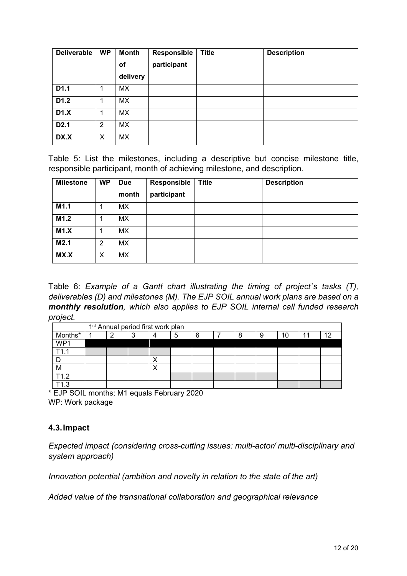| <b>Deliverable</b> | <b>WP</b> | <b>Month</b> | <b>Responsible</b> | <b>Title</b> | <b>Description</b> |
|--------------------|-----------|--------------|--------------------|--------------|--------------------|
|                    |           | Οf           | participant        |              |                    |
|                    |           | delivery     |                    |              |                    |
| D1.1               | 1         | МX           |                    |              |                    |
| D <sub>1.2</sub>   | 1         | MX.          |                    |              |                    |
| D1.X               |           | <b>MX</b>    |                    |              |                    |
| D <sub>2.1</sub>   | 2         | <b>MX</b>    |                    |              |                    |
| DX.X               | X         | <b>MX</b>    |                    |              |                    |

Table 5: List the milestones, including a descriptive but concise milestone title, responsible participant, month of achieving milestone, and description.

| <b>Milestone</b> | <b>WP</b> | <b>Due</b><br>month | Responsible<br>participant | <b>Title</b> | <b>Description</b> |
|------------------|-----------|---------------------|----------------------------|--------------|--------------------|
| M1.1             |           | MX.                 |                            |              |                    |
| M1.2             |           | <b>MX</b>           |                            |              |                    |
| M1.X             |           | МX                  |                            |              |                    |
| M2.1             | 2         | MX                  |                            |              |                    |
| MX.X             | X         | MX                  |                            |              |                    |

Table 6: *Example of a Gantt chart illustrating the timing of project`s tasks (T), deliverables (D) and milestones (M). The EJP SOIL annual work plans are based on a monthly resolution, which also applies to EJP SOIL internal call funded research project.*

|         | 1 <sup>st</sup> Annual period first work plan |   |  |   |   |  |   |   |    |    |    |  |  |
|---------|-----------------------------------------------|---|--|---|---|--|---|---|----|----|----|--|--|
| Months* | ⌒                                             | د |  | 5 | 6 |  | Я | 9 | 10 | 44 | 10 |  |  |
| WP1     |                                               |   |  |   |   |  |   |   |    |    |    |  |  |
| T11     |                                               |   |  |   |   |  |   |   |    |    |    |  |  |
|         |                                               |   |  |   |   |  |   |   |    |    |    |  |  |
| M       |                                               |   |  |   |   |  |   |   |    |    |    |  |  |
| T1.2    |                                               |   |  |   |   |  |   |   |    |    |    |  |  |
| ำว      |                                               |   |  |   |   |  |   |   |    |    |    |  |  |

\* EJP SOIL months; M1 equals February 2020 WP: Work package

## <span id="page-11-0"></span>**4.3.Impact**

*Expected impact (considering cross-cutting issues: multi-actor/ multi-disciplinary and system approach)*

*Innovation potential (ambition and novelty in relation to the state of the art)*

*Added value of the transnational collaboration and geographical relevance*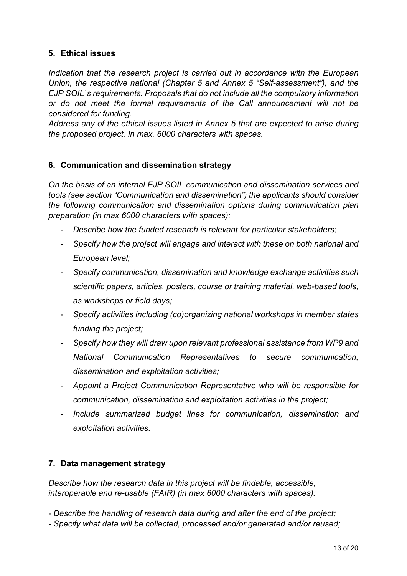## <span id="page-12-0"></span>**5. Ethical issues**

*Indication that the research project is carried out in accordance with the European Union, the respective national (Chapter 5 and Annex 5 "Self-assessment"), and the EJP SOIL`s requirements. Proposals that do not include all the compulsory information or do not meet the formal requirements of the Call announcement will not be considered for funding.*

*Address any of the ethical issues listed in Annex 5 that are expected to arise during the proposed project. In max. 6000 characters with spaces.*

## <span id="page-12-1"></span>**6. Communication and dissemination strategy**

*On the basis of an internal EJP SOIL communication and dissemination services and tools (see section "Communication and dissemination") the applicants should consider the following communication and dissemination options during communication plan preparation (in max 6000 characters with spaces):*

- *Describe how the funded research is relevant for particular stakeholders;*
- *Specify how the project will engage and interact with these on both national and European level;*
- *Specify communication, dissemination and knowledge exchange activities such scientific papers, articles, posters, course or training material, web-based tools, as workshops or field days;*
- *Specify activities including (co)organizing national workshops in member states funding the project;*
- *Specify how they will draw upon relevant professional assistance from WP9 and National Communication Representatives to secure communication, dissemination and exploitation activities;*
- *Appoint a Project Communication Representative who will be responsible for communication, dissemination and exploitation activities in the project;*
- *Include summarized budget lines for communication, dissemination and exploitation activities.*

## <span id="page-12-2"></span>**7. Data management strategy**

*Describe how the research data in this project will be findable, accessible, interoperable and re-usable (FAIR) (in max 6000 characters with spaces):* 

- *- Describe the handling of research data during and after the end of the project;*
- *- Specify what data will be collected, processed and/or generated and/or reused;*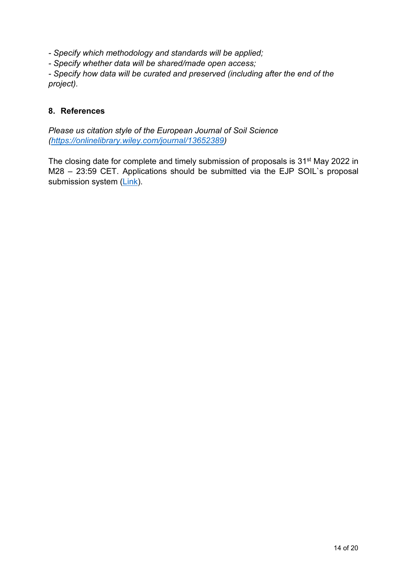*- Specify which methodology and standards will be applied;*

*- Specify whether data will be shared/made open access;*

*- Specify how data will be curated and preserved (including after the end of the project).*

## <span id="page-13-0"></span>**8. References**

*Please us citation style of the European Journal of Soil Science [\(https://onlinelibrary.wiley.com/journal/13652389\)](https://onlinelibrary.wiley.com/journal/13652389)*

The closing date for complete and timely submission of proposals is 31<sup>st</sup> May 2022 in M28 – 23:59 CET. Applications should be submitted via the EJP SOIL`s proposal submission system [\(Link\)](https://www.lyyti.fi/reg/EJPSOIL_3rd_internal_call).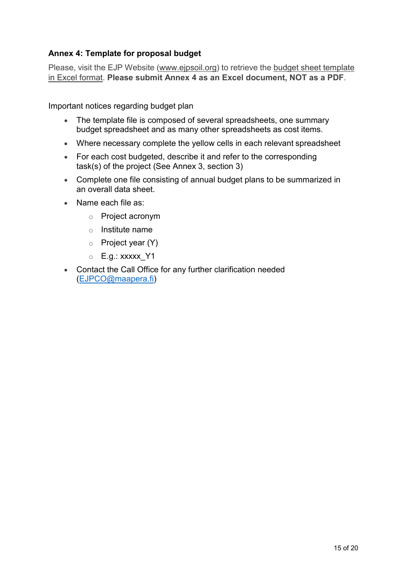## **Annex 4: Template for proposal budget**

Please, visit the EJP Website (www.ejpsoil.org) to retrieve the budget sheet template in Excel format. **Please submit Annex 4 as an Excel document, NOT as a PDF**.

Important notices regarding budget plan

- The template file is composed of several spreadsheets, one summary budget spreadsheet and as many other spreadsheets as cost items.
- Where necessary complete the yellow cells in each relevant spreadsheet
- For each cost budgeted, describe it and refer to the corresponding task(s) of the project (See Annex 3, section 3)
- Complete one file consisting of annual budget plans to be summarized in an overall data sheet.
- Name each file as:
	- o Project acronym
	- o Institute name
	- o Project year (Y)
	- $\circ$  E.g.: xxxxx Y1
- Contact the Call Office for any further clarification needed [\(EJPCO@maapera.fi\)](mailto:EJPCO@maapera.fi)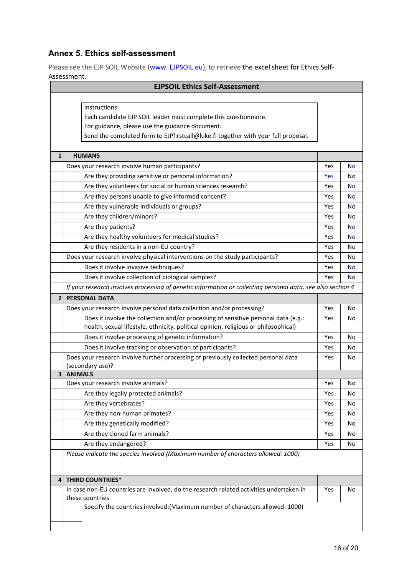## **Annex 5. Ethics self-assessment**

Please see the EJP SOIL Website (www. EJPSOIL.eu), to retrieve the excel sheet for Ethics Self-Assessment.

| ASSESSITIEITU.<br><b>EJPSOIL Ethics Self-Assessment</b>          |                                                                                                             |     |           |  |  |
|------------------------------------------------------------------|-------------------------------------------------------------------------------------------------------------|-----|-----------|--|--|
|                                                                  |                                                                                                             |     |           |  |  |
|                                                                  | Instructions:                                                                                               |     |           |  |  |
| Each candidate EJP SOIL leader must complete this questionnaire. |                                                                                                             |     |           |  |  |
| For guidance, please use the guidance document.                  |                                                                                                             |     |           |  |  |
|                                                                  | Send the completed form to EJPfirstcall@luke.fi together with your full proposal.                           |     |           |  |  |
|                                                                  |                                                                                                             |     |           |  |  |
| $\mathbf{1}$                                                     | <b>HUMANS</b>                                                                                               |     |           |  |  |
|                                                                  | Does your research involve human participants?                                                              | Yes | No        |  |  |
|                                                                  | Are they providing sensitive or personal information?                                                       | Yes | No        |  |  |
|                                                                  | Are they volunteers for social or human sciences research?                                                  | Yes | No        |  |  |
|                                                                  | Are they persons unable to give informed consent?                                                           | Yes | No        |  |  |
|                                                                  | Are they vulnerable individuals or groups?                                                                  | Yes | No        |  |  |
|                                                                  | Are they children/minors?                                                                                   | Yes | <b>No</b> |  |  |
|                                                                  | Are they patients?                                                                                          | Yes | <b>No</b> |  |  |
|                                                                  | Are they healthy volunteers for medical studies?                                                            | Yes | <b>No</b> |  |  |
|                                                                  | Are they residents in a non-EU country?                                                                     | Yes | No        |  |  |
|                                                                  | Does your research involve physical interventions on the study participants?                                | Yes | No        |  |  |
|                                                                  | Does it involve invasive techniques?                                                                        | Yes | No        |  |  |
|                                                                  | Does it involve collection of biological samples?                                                           | Yes | <b>No</b> |  |  |
|                                                                  | If your research involves processing of genetic information or collecting personal data, see also section 4 |     |           |  |  |
| $\overline{2}$                                                   | <b>PERSONAL DATA</b>                                                                                        |     |           |  |  |
|                                                                  | Does your research involve personal data collection and/or processing?                                      | Yes | No        |  |  |
|                                                                  | Does it involve the collection and/or processing of sensitive personal data (e.g.:                          | Yes | No        |  |  |
|                                                                  | health, sexual lifestyle, ethnicity, political opinion, religious or philosophical)                         |     |           |  |  |
|                                                                  | Does it involve processing of genetic information?                                                          | Yes | No        |  |  |
|                                                                  | Does it involve tracking or observation of participants?                                                    | Yes | No        |  |  |
|                                                                  | Does your research involve further processing of previously collected personal data                         | Yes | No        |  |  |
|                                                                  | (secondary use)?                                                                                            |     |           |  |  |
| $\overline{\mathbf{3}}$                                          | <b>ANIMALS</b>                                                                                              |     |           |  |  |
|                                                                  | Does your research involve animals?                                                                         | Yes | No        |  |  |
|                                                                  | Are they legally protected animals?                                                                         | Yes | No        |  |  |
|                                                                  | Are they vertebrates?                                                                                       | Yes | No        |  |  |
|                                                                  | Are they non-human primates?                                                                                | Yes | No        |  |  |
|                                                                  | Are they genetically modified?                                                                              | Yes | No        |  |  |
|                                                                  | Are they cloned farm animals?                                                                               | Yes | No        |  |  |
|                                                                  | Are they endangered?                                                                                        | Yes | No        |  |  |
|                                                                  | Please indicate the species involved (Maximum number of characters allowed: 1000)                           |     |           |  |  |
|                                                                  |                                                                                                             |     |           |  |  |
| 4                                                                | <b>THIRD COUNTRIES*</b>                                                                                     |     |           |  |  |
|                                                                  | In case non-EU countries are involved, do the research related activities undertaken in                     | Yes | No        |  |  |
|                                                                  | these countries                                                                                             |     |           |  |  |
|                                                                  | Specify the countries involved: (Maximum number of characters allowed: 1000)                                |     |           |  |  |
|                                                                  |                                                                                                             |     |           |  |  |
|                                                                  |                                                                                                             |     |           |  |  |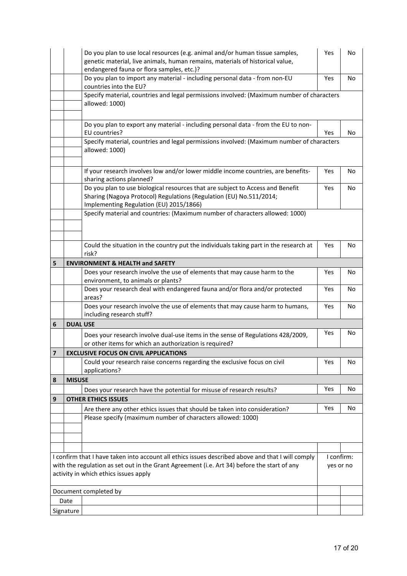|                                                                                                                                      | Do you plan to use local resources (e.g. animal and/or human tissue samples,<br>genetic material, live animals, human remains, materials of historical value,<br>endangered fauna or flora samples, etc.)? |                                                                                                                                                                                                  | Yes | No         |  |
|--------------------------------------------------------------------------------------------------------------------------------------|------------------------------------------------------------------------------------------------------------------------------------------------------------------------------------------------------------|--------------------------------------------------------------------------------------------------------------------------------------------------------------------------------------------------|-----|------------|--|
|                                                                                                                                      | Do you plan to import any material - including personal data - from non-EU<br>countries into the EU?                                                                                                       |                                                                                                                                                                                                  |     | No         |  |
|                                                                                                                                      | Specify material, countries and legal permissions involved: (Maximum number of characters<br>allowed: 1000)                                                                                                |                                                                                                                                                                                                  |     |            |  |
|                                                                                                                                      |                                                                                                                                                                                                            | Do you plan to export any material - including personal data - from the EU to non-<br>EU countries?                                                                                              | Yes | No         |  |
|                                                                                                                                      | Specify material, countries and legal permissions involved: (Maximum number of characters<br>allowed: 1000)                                                                                                |                                                                                                                                                                                                  |     |            |  |
|                                                                                                                                      |                                                                                                                                                                                                            | If your research involves low and/or lower middle income countries, are benefits-<br>sharing actions planned?                                                                                    | Yes | No         |  |
|                                                                                                                                      |                                                                                                                                                                                                            | Do you plan to use biological resources that are subject to Access and Benefit<br>Sharing (Nagoya Protocol) Regulations (Regulation (EU) No.511/2014;<br>Implementing Regulation (EU) 2015/1866) | Yes | No.        |  |
|                                                                                                                                      |                                                                                                                                                                                                            | Specify material and countries: (Maximum number of characters allowed: 1000)                                                                                                                     |     |            |  |
|                                                                                                                                      |                                                                                                                                                                                                            | Could the situation in the country put the individuals taking part in the research at<br>risk?                                                                                                   | Yes | No         |  |
| 5                                                                                                                                    |                                                                                                                                                                                                            | <b>ENVIRONMENT &amp; HEALTH and SAFETY</b>                                                                                                                                                       |     |            |  |
|                                                                                                                                      |                                                                                                                                                                                                            | Does your research involve the use of elements that may cause harm to the<br>environment, to animals or plants?                                                                                  | Yes | No         |  |
|                                                                                                                                      |                                                                                                                                                                                                            | Does your research deal with endangered fauna and/or flora and/or protected<br>areas?                                                                                                            | Yes | No         |  |
|                                                                                                                                      |                                                                                                                                                                                                            | Does your research involve the use of elements that may cause harm to humans,<br>including research stuff?                                                                                       | Yes | No         |  |
| 6                                                                                                                                    | <b>DUAL USE</b>                                                                                                                                                                                            |                                                                                                                                                                                                  |     |            |  |
|                                                                                                                                      |                                                                                                                                                                                                            | Does your research involve dual-use items in the sense of Regulations 428/2009,<br>or other items for which an authorization is required?                                                        | Yes | No         |  |
| $\overline{7}$                                                                                                                       | <b>EXCLUSIVE FOCUS ON CIVIL APPLICATIONS</b>                                                                                                                                                               |                                                                                                                                                                                                  |     |            |  |
|                                                                                                                                      |                                                                                                                                                                                                            | Could your research raise concerns regarding the exclusive focus on civil<br>applications?                                                                                                       | Yes | No         |  |
| 8                                                                                                                                    | <b>MISUSE</b>                                                                                                                                                                                              |                                                                                                                                                                                                  |     |            |  |
|                                                                                                                                      |                                                                                                                                                                                                            | Does your research have the potential for misuse of research results?                                                                                                                            | Yes | No         |  |
| 9                                                                                                                                    |                                                                                                                                                                                                            | <b>OTHER ETHICS ISSUES</b>                                                                                                                                                                       |     |            |  |
|                                                                                                                                      |                                                                                                                                                                                                            | Are there any other ethics issues that should be taken into consideration?                                                                                                                       | Yes | No         |  |
|                                                                                                                                      |                                                                                                                                                                                                            | Please specify (maximum number of characters allowed: 1000)                                                                                                                                      |     |            |  |
|                                                                                                                                      |                                                                                                                                                                                                            |                                                                                                                                                                                                  |     |            |  |
|                                                                                                                                      |                                                                                                                                                                                                            |                                                                                                                                                                                                  |     |            |  |
| I confirm that I have taken into account all ethics issues described above and that I will comply                                    |                                                                                                                                                                                                            |                                                                                                                                                                                                  |     | I confirm: |  |
| with the regulation as set out in the Grant Agreement (i.e. Art 34) before the start of any<br>activity in which ethics issues apply |                                                                                                                                                                                                            |                                                                                                                                                                                                  |     |            |  |
| Document completed by                                                                                                                |                                                                                                                                                                                                            |                                                                                                                                                                                                  |     |            |  |
| Date                                                                                                                                 |                                                                                                                                                                                                            |                                                                                                                                                                                                  |     |            |  |
| Signature                                                                                                                            |                                                                                                                                                                                                            |                                                                                                                                                                                                  |     |            |  |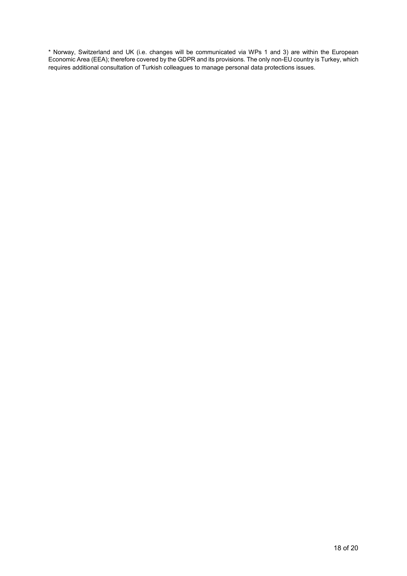\* Norway, Switzerland and UK (i.e. changes will be communicated via WPs 1 and 3) are within the European Economic Area (EEA); therefore covered by the GDPR and its provisions. The only non-EU country is Turkey, which requires additional consultation of Turkish colleagues to manage personal data protections issues.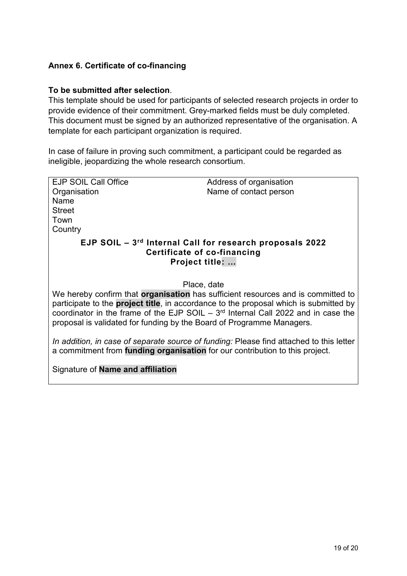## **Annex 6. Certificate of co-financing**

## **To be submitted after selection**.

This template should be used for participants of selected research projects in order to provide evidence of their commitment. Grey-marked fields must be duly completed. This document must be signed by an authorized representative of the organisation. A template for each participant organization is required.

In case of failure in proving such commitment, a participant could be regarded as ineligible, jeopardizing the whole research consortium.

| <b>EJP SOIL Call Office</b>                                                                               | Address of organisation                                                                 |  |  |  |  |  |
|-----------------------------------------------------------------------------------------------------------|-----------------------------------------------------------------------------------------|--|--|--|--|--|
| Organisation                                                                                              | Name of contact person                                                                  |  |  |  |  |  |
| Name                                                                                                      |                                                                                         |  |  |  |  |  |
| <b>Street</b>                                                                                             |                                                                                         |  |  |  |  |  |
|                                                                                                           |                                                                                         |  |  |  |  |  |
| Town                                                                                                      |                                                                                         |  |  |  |  |  |
| Country                                                                                                   |                                                                                         |  |  |  |  |  |
| EJP SOIL - 3rd Internal Call for research proposals 2022<br>Certificate of co-financing<br>Project title: |                                                                                         |  |  |  |  |  |
| Place, date                                                                                               |                                                                                         |  |  |  |  |  |
|                                                                                                           | We hereby confirm that <b>organisation</b> has sufficient resources and is committed to |  |  |  |  |  |
|                                                                                                           |                                                                                         |  |  |  |  |  |
| participate to the <b>project title</b> , in accordance to the proposal which is submitted by             |                                                                                         |  |  |  |  |  |
|                                                                                                           | coordinator in the frame of the EJP SOIL $-3rd$ Internal Call 2022 and in case the      |  |  |  |  |  |
| proposal is validated for funding by the Board of Programme Managers.                                     |                                                                                         |  |  |  |  |  |
|                                                                                                           |                                                                                         |  |  |  |  |  |
|                                                                                                           | In addition, in case of separate source of funding: Please find attached to this letter |  |  |  |  |  |
| a commitment from funding organisation for our contribution to this project.                              |                                                                                         |  |  |  |  |  |
|                                                                                                           |                                                                                         |  |  |  |  |  |
| Signature of <b>Name and affiliation</b>                                                                  |                                                                                         |  |  |  |  |  |
|                                                                                                           |                                                                                         |  |  |  |  |  |